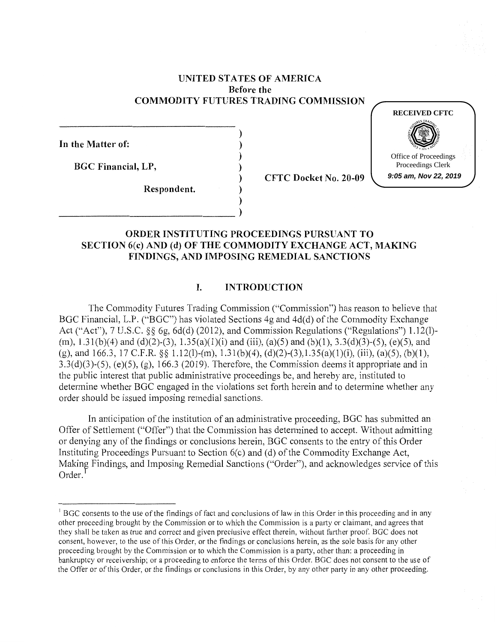### **UNITED STA TES OF AMERICA Before the COMMODITY FUTURES TRADING COMMISSION**

) ) ) ) ) ) )

**In the Matter of:** 

**BGC Financial, LP,** 

**Respondent.** 

 $\begin{pmatrix} 1 & 1 & 1 \\ 1 & 1 & 1 \\ 1 & 1 & 1 \end{pmatrix}$ 

**CFTC Docket No. 20-09** 



# **ORDER INSTITUTING PROCEEDINGS PURSUANT TO SECTION 6(c) AND (d) OF THE COMMODITY EXCHANGE ACT, MAKING FINDINGS, AND IMPOSING REMEDIAL SANCTIONS**

# **I. INTRODUCTION**

The Commodity Futures Trading Commission ("Commission") has reason to believe that BGC Financial, L.P. ("BGC") has violated Sections 4g and 4d(d) of the Commodity Exchange Act ("Act"), 7 U.S.C. §§ 6g, 6d(d) (2012), and Commission Regulations ("Regulations") 1.12(l)-(m), 1.31(b)(4) and (d)(2)-(3), 1.35(a)(l)(i) and (iii), (a)(5) and (b)(l), 3.3(d)(3)-(5), (e)(5), and (g), and 166.3, 17 C.F.R. §§ 1.12(1)-(m), 1.31(b)(4), (d)(2)-(3),1.35(a)(1)(i), (iii), (a)(5), (b)(1),  $3.3(d)(3)-(5)$ ,  $(e)(5)$ ,  $(g)$ , 166.3 (2019). Therefore, the Commission deems it appropriate and in the public interest that public administrative proceedings be, and hereby are, instituted to determine whether BGC engaged in the violations set forth herein and to determine whether any order should be issued imposing remedial sanctions.

In anticipation of the institution of an administrative proceeding, BGC has submitted an Offer of Settlement ("Offer") that the Commission has determined to accept. Without admitting or denying any of the findings or conclusions herein, BGC consents to the entry of this Order Instituting Proceedings Pursuant to Section  $6(c)$  and (d) of the Commodity Exchange Act, Making Findings, and Imposing Remedial Sanctions ("Order"), and acknowledges service of this Order.<sup>1</sup>

<sup>&</sup>lt;sup>1</sup> BGC consents to the use of the findings of fact and conclusions of law in this Order in this proceeding and in any other proceeding brought by the Commission or to which the Commission is a party or claimant, and agrees that they shall be taken as true and correct and given preclusive effect therein, without further proof. BGC does not consent, however, to the use of this Order, or the findings or conclusions herein, as the sole basis for any other proceeding brought by the Commission or to which the Commission is a party, other than: a proceeding in bankruptcy or receivership; or a proceeding to enforce the terms of this Order. BGC does not consent to the use of the Offer or of this Order, or the findings or conclusions in this Order, by any other party in any other proceeding.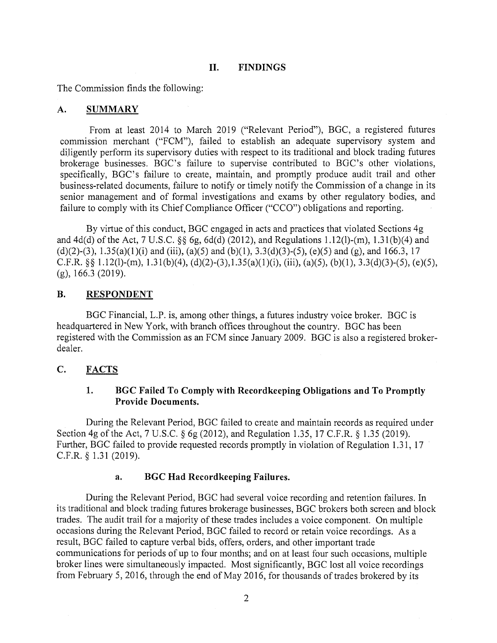### **II. FINDINGS**

The Commission finds the following:

#### **A. SUMMARY**

From at least 2014 to March 2019 ("Relevant Period"), BGC, a registered futures commission merchant ("FCM"), failed to establish an adequate supervisory system and diligently perform its supervisory duties with respect to its traditional and block trading futures brokerage businesses. BGC's failure to supervise contributed to BGC's other violations, specifically, BGC's failure to create, maintain, and promptly produce audit trail and other business-related documents, failure to notify or timely notify the Commission of a change in its senior management and of formal investigations and exams by other regulatory bodies, and failure to comply with its Chief Compliance Officer ("CCO") obligations and reporting.

By virtue of this conduct, BGC engaged in acts and practices that violated Sections 4g and 4d(d) of the Act, 7 U.S.C. §§ 6g, 6d(d) (2012), and Regulations 1.12(1)-(m), 1.3 l(b)(4) and (d)(2)-(3), 1.35(a)(1)(i) and (iii), (a)(5) and (b)(1), 3.3(d)(3)-(5), (e)(5) and (g), and 166.3, 17 C.F.R.  $\S$ § 1.12(1)-(m), 1.31(b)(4), (d)(2)-(3), 1.35(a)(1)(i), (iii), (a)(5), (b)(1), 3.3(d)(3)-(5), (e)(5), (g), 166.3 (2019).

### **B.** RESPONDENT

BGC Financial, L.P. is, among other things, a futures industry voice broker. BGC is headquartered in New York, with branch offices throughout the country. BGC has been registered with the Commission as an FCM since January 2009. BGC is also a registered brokerdealer.

# **C. FACTS**

# **1. BGC Failed To Comply with Recordkeeping Obligations and To Promptly Provide Documents.**

During the Relevant Period, BGC failed to create and maintain records as required under Section 4g of the Act, 7 U.S.C. § 6g (2012), and Regulation 1.35, 17 C.F.R. § 1.35 (2019). Further, BGC failed to provide requested records promptly in violation of Regulation 1.31, 17 C.F.R. § 1.31 (2019).

### **a. BGC Had Recordkeeping Failures.**

During the Relevant Period, BGC had several voice recording and retention failures. In its traditional and block trading futures brokerage businesses, BGC brokers both screen and block trades. The audit trail for a majority of these trades includes a voice component. On multiple occasions during the Relevant Period, BGC failed to record or retain voice recordings. As a result, BGC failed to capture verbal bids, offers, orders, and other important trade communications for periods of up to four months; and on at least four such occasions, multiple broker lines were simultaneously impacted. Most significantly, BGC lost all voice recordings from February 5, 2016, through the end of May 2016, for thousands of trades brokered by its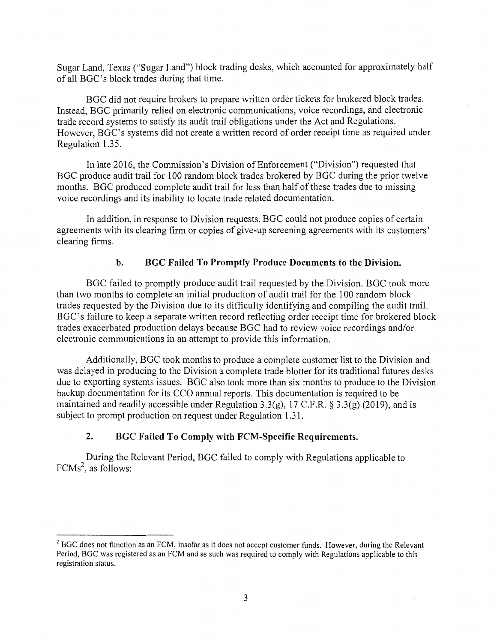Sugar Land, Texas ("Sugar Land") block trading desks, which accounted for approximately half of all BGC's block trades during that time.

BGC did not require brokers to prepare written order tickets for brokered block trades. Instead, BGC primarily relied on electronic communications, voice recordings, and electronic trade record systems to satisfy its audit trail obligations under the Act and Regulations. However, BGC's systems did not create a written record of order receipt time as required under Regulation 1.35.

In late 2016, the Commission's Division of Enforcement ("Division") requested that BGC produce audit trail for 100 random block trades brokered by BGC during the prior twelve months. BGC produced complete audit trail for less than half of these trades due to missing voice recordings and its inability to locate trade related documentation.

In addition, in response to Division requests, BGC could not produce copies of certain agreements with its clearing firm or copies of give-up screening agreements with its customers' clearing firms.

#### **b. BGC Failed To Promptly Produce Documents to the Division.**

BGC failed to promptly produce audit trail requested by the Division. BGC took more than two months to complete an initial production of audit trail for the 100 random block trades requested by the Division due to its difficulty identifying and compiling the audit trail. BGC's failure to keep a separate written record reflecting order receipt time for brokered block trades exacerbated production delays because BGC had to review voice recordings and/or electronic communications in an attempt to provide this information.

Additionally, BGC took months to produce a complete customer list to the Division and was delayed in producing to the Division a complete trade blotter for its traditional futures desks due to exporting systems issues. BGC also took more than six months to produce to the Division backup documentation for its CCO annual reports. This documentation is required to be maintained and readily accessible under Regulation 3.3(g), 17 C.F.R. § 3.3(g) (2019), and is subject to prompt production on request under Regulation 1.31.

#### **2. BGC Failed To Comply with FCM-Specific Requirements.**

During the Relevant Period, BGC failed to comply with Regulations applicable to FCMs<sup>2</sup>, as follows:

<sup>&</sup>lt;sup>2</sup> BGC does not function as an FCM, insofar as it does not accept customer funds. However, during the Relevant Period, BGC was registered as an FCM and as such was required to comply with Regulations applicable to this registration status.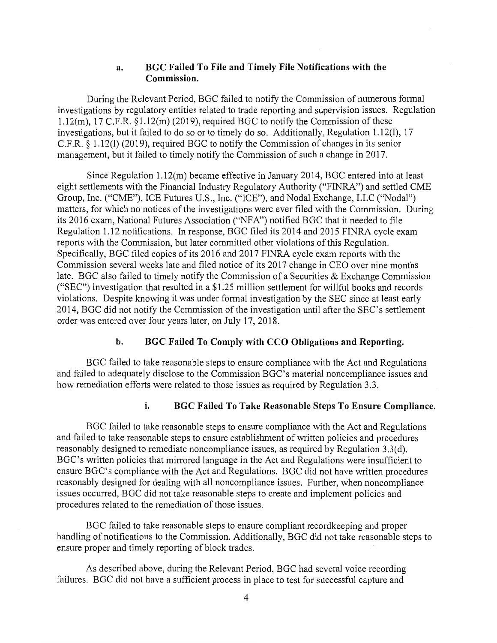### **a. BGC Failed To File and Timely File Notifications with the Commission.**

During the Relevant Period, BGC failed to notify the Commission of numerous formal investigations by regulatory entities related to trade reporting and supervision issues. Regulation 1.12(m), 17 C.F.R.  $\S1.12(m)$  (2019), required BGC to notify the Commission of these investigations, but it failed to do so or to timely do so. Additionally, Regulation 1.12(1), 17 C.F .R. § 1.12(1) (2019), required BGC to notify the Commission of changes in its senior management, but it failed to timely notify the Commission of such a change in 2017.

Since Regulation 1.12(m) became effective in January 2014, BGC entered into at least eight settlements with the Financial Industry Regulatory Authority ("FINRA") and settled CME Group, Inc. ("CME"), ICE Futures U.S., Inc. ("ICE"), and Nodal Exchange, LLC ("Nodal") matters, for which no notices of the investigations were ever filed with the Commission. During its 2016 exam, National Futures Association ("NFA") notified BGC that it needed to file Regulation 1.12 notifications. In response, BGC filed its 2014 and 2015 FINRA cycle exam reports with the Commission, but later committed other violations of this Regulation. Specifically, BGC filed copies of its 2016 and 2017 FINRA cycle exam reports with the Commission several weeks late and filed notice of its 2017 change in CEO over nine months late. BGC also failed to timely notify the Commission of a Securities & Exchange Commission ("SEC") investigation that resulted in a \$1.25 million settlement for willful books and records violations. Despite knowing it was under formal investigation by the SEC since at least early 2014, BGC did not notify the Commission of the investigation until after the SEC's settlement order was entered over four years later, on July 17, 2018.

### **b. BGC Failed To Comply with CCO Obligations and Reporting.**

BGC failed to take reasonable steps to ensure compliance with the Act and Regulations and failed to adequately disclose to the Commission BGC's material noncompliance issues and how remediation efforts were related to those issues as required by Regulation 3.3.

#### **i. BGC Failed To Take Reasonable Steps To Ensure Compliance.**

BGC failed to take reasonable steps to ensure compliance with the Act and Regulations and failed to take reasonable steps to ensure establishment of written policies and procedures reasonably designed to remediate noncompliance issues, as required by Regulation 3.3(d). BGC's written policies that mirrored language in the Act and Regulations were insufficient to ensure BGC's compliance with the Act and Regulations. BGC did not have written procedures reasonably designed for dealing with all noncompliance issues. Further, when noncompliance issues occurred, BGC did not take reasonable steps to create and implement policies and procedures related to the remediation of those issues.

BGC failed to take reasonable steps to ensure compliant recordkeeping and proper handling of notifications to the Commission. Additionally, BGC did not take reasonable steps to ensure proper and timely reporting of block trades.

As described above, during the Relevant Period, BGC had several voice recording failures. BGC did not have a sufficient process in place to test for successful capture and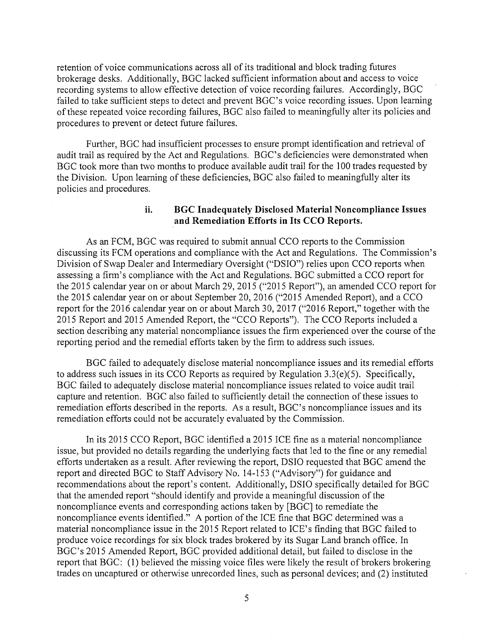retention of voice communications across all of its traditional and block trading futures brokerage desks. Additionally, BGC lacked sufficient information about and access to voice recording systems to allow effective detection of voice recording failures. Accordingly, BGC failed to take sufficient steps to detect and prevent BGC's voice recording issues. Upon learning of these repeated voice recording failures, BGC also failed to meaningfully alter its policies and procedures to prevent or detect future failures.

Further, BGC had insufficient processes to ensure prompt identification and retrieval of audit trail as required by the Act and Regulations. BGC's deficiencies were demonstrated when BGC took more than two months to produce available audit trail for the 100 trades requested by the Division. Upon learning of these deficiencies, BGC also failed to meaningfully alter its policies and procedures.

## **ii. BGC Inadequately Disclosed Material Noncompliance Issues and Remediation Efforts in Its CCO Reports.**

As an FCM, BGC was required to submit annual CCO reports to the Commission discussing its FCM operations and compliance with the Act and Regulations. The Commission's Division of Swap Dealer and Intermediary Oversight ("DSIO") relies upon CCO reports when assessing a firm's compliance with the Act and Regulations. BGC submitted a CCO report for the 2015 calendar year on or about March 29, 2015 ("2015 Report"), an amended CCO report for the 2015 calendar year on or about September 20, 2016 ("2015 Amended Report), and a CCO report for the 2016 calendar year on or about March 30, 2017 ("2016 Report," together with the 2015 Report and 2015 Amended Report, the "CCO Reports"). The CCO Reports included a section describing any material noncompliance issues the firm experienced over the course of the reporting period and the remedial efforts taken by the firm to address such issues.

BGC failed to adequately disclose material noncompliance issues and its remedial efforts to address such issues in its CCO Reports as required by Regulation 3.3(e)(5). Specifically, BGC failed to adequately disclose material noncompliance issues related to voice audit trail capture and retention. BGC also failed to sufficiently detail the connection of these issues to remediation efforts described in the reports. As a result, BGC's noncompliance issues and its remediation efforts could not be accurately evaluated by the Commission.

In its 2015 CCO Report, BGC identified a 2015 ICE fine as a material noncompliance issue, but provided no details regarding the underlying facts that led to the fine or any remedial efforts undertaken as a result. After reviewing the report, DSIO requested that BGC amend the report and directed BGC to Staff Advisory No. 14-153 ("Advisory") for guidance and recommendations about the report's content. Additionally, DSIO specifically detailed for BGC that the amended report "should identify and provide a meaningful discussion of the noncompliance events and corresponding actions taken by [BGC] to remediate the noncompliance events identified." A portion of the ICE fine that BGC determined was a material noncompliance issue in the 2015 Report related to ICE's finding that BGC failed to produce voice recordings for six block trades brokered by its Sugar Land branch office. In BGC's 2015 Amended Report, BGC provided additional detail, but failed to disclose in the report that BGC: (1) believed the missing voice files were likely the result of brokers brokering trades on uncaptured or otherwise unrecorded lines, such as personal devices; and (2) instituted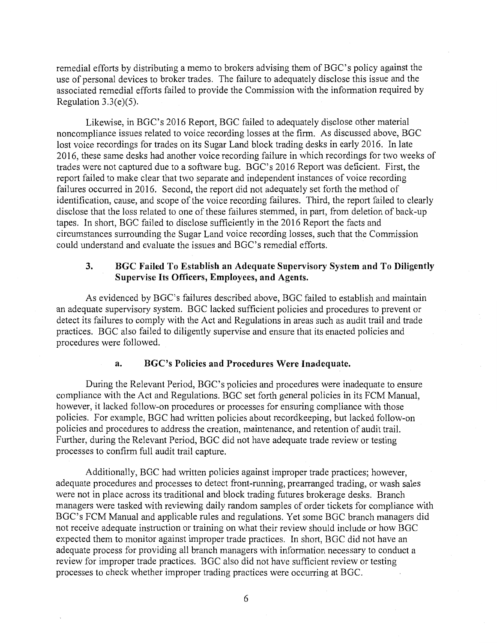remedial efforts by distributing a memo to brokers advising them of BGC's policy against the use of personal devices to broker trades. The failure to adequately disclose this issue and the associated remedial efforts failed to provide the Commission with the information required by Regulation 3.3(e)(5).

Likewise, in BGC's 2016 Report, BGC failed to adequately disclose other material noncompliance issues related to voice recording losses at the firm. As discussed above, BGC lost voice recordings for trades on its Sugar Land block trading desks in early 2016. In late 2016, these same desks had another voice recording failure in which recordings for two weeks of trades were not captured due to a software bug. BGC's 2016 Report was deficient. First, the report failed to make clear that two separate and independent instances of voice recording failures occurred in 2016. Second, the report did not adequately set forth the method of identification, cause, and scope of the voice recording failures. Third, the report failed to clearly disclose that the loss related to one of these failures stemmed, in part, from deletion of back-up tapes. In short, BGC failed to disclose sufficiently in the 2016 Report the facts and circumstances surrounding the Sugar Land voice recording losses, such that the Commission could understand and evaluate the issues and BGC's remedial efforts.

# **3. BGC Failed To Establish an Adequate Supervisory System and To Diligently Supervise Its Officers, Employees, and Agents.**

As evidenced by BGC's failures described above, BGC failed to establish and maintain an adequate supervisory system. BGC lacked sufficient policies and procedures to prevent or detect its failures to comply with the Act and Regulations in areas such as audit trail and trade practices. BGC also failed to diligently supervise and ensure that its enacted policies and procedures were followed.

#### **a. BGC's Policies and Procedures Were Inadequate.**

During the Relevant Period, BGC's policies and procedures were inadequate to ensure compliance with the Act and Regulations. BGC set forth general policies in its FCM Manual, however, it lacked follow-on procedures or processes for ensuring compliance with those policies. For example, BGC had written policies about recordkeeping, but lacked follow-on policies and procedures to address the creation, maintenance, and retention of audit trail. Further, during the Relevant Period, BGC did not have adequate trade review or testing processes to confirm full audit trail capture.

Additionally, BGC had written policies against improper trade practices; however, adequate procedures and processes to detect front-running, prearranged trading, or wash sales were not in place across its traditional and block trading futures brokerage desks. Branch managers were tasked with reviewing daily random samples of order tickets for compliance with BGC's FCM Manual and applicable rules and regulations. Yet some BGC branch managers did not receive adequate instruction or training on what their review should include or how BGC expected them to monitor against improper trade practices. In short, BGC did not have an adequate process for providing all branch managers with information necessary to conduct a review for improper trade practices. BGC also did not have sufficient review or testing processes to check whether improper trading practices were occurring at BGC.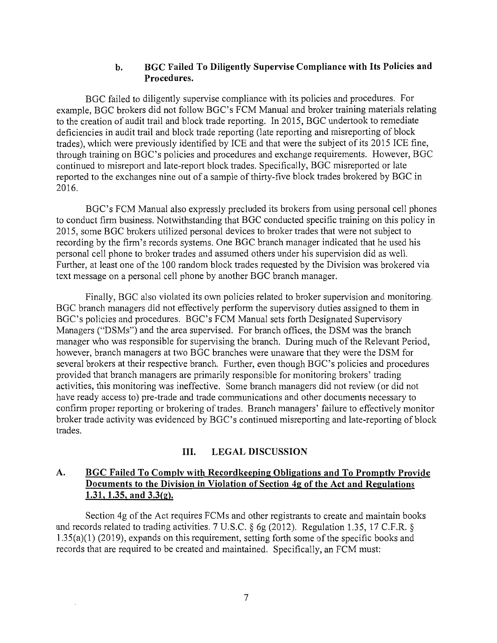# **b. BGC Failed To Diligently Supervise Compliance with Its Policies and Procedures.**

BGC failed to diligently supervise compliance with its policies and procedures. For example, BGC brokers did not follow BGC's FCM Manual and broker training materials relating to the creation of audit trail and block trade reporting. In 2015, BGC undertook to remediate deficiencies in audit trail and block trade reporting (late reporting and misreporting of block trades), which were previously identified by ICE and that were the subject of its 2015 ICE fine, through training on BGC's policies and procedures and exchange requirements. However, BGC continued to misreport and late-report block trades. Specifically, BGC misreported or late reported to the exchanges nine out of a sample of thirty-five block trades brokered by BGC in 2016.

BGC's FCM Manual also expressly precluded its brokers from using personal cell phones to conduct firm business. Notwithstanding that BGC conducted specific training on this policy in 2015, some BGC brokers utilized personal devices to broker trades that were not subject to recording by the firm's records systems. One BGC branch manager indicated that he used his personal cell phone to broker trades and assumed others under his supervision did as well. Further, at least one of the 100 random block trades requested by the Division was brokered via text message on a personal cell phone by another BGC branch manager.

Finally, BGC also violated its own policies related to broker supervision and monitoring. BGC branch managers did not effectively perform the supervisory duties assigned to them in BGC's policies and procedures. BGC's FCM Manual sets forth Designated Supervisory Managers ("DSMs") and the area supervised. For branch offices, the DSM was the branch manager who was responsible for supervising the branch. During much of the Relevant Period, however, branch managers at two BGC branches were unaware that they were the DSM for several brokers at their respective branch. Further, even though BGC's policies and procedures provided that branch managers are primarily responsible for monitoring brokers' trading activities, this monitoring was ineffective. Some branch managers did not review (or did not have ready access to) pre-trade and trade communications and other documents necessary to confirm proper reporting or brokering of trades. Branch managers' failure to effectively monitor broker trade activity was evidenced by BGC's continued misreporting and late-reporting of block trades.

### **III. LEGAL DISCUSSION**

# **A. BGC Failed To Comply with Recordkeeping Obligations and To Promptly Provide Documents to the Division in Violation of Section 4g of the Act and Regulations 1.31, 1.35, and 3.3(g).**

Section 4g of the Act requires FCMs and other registrants to create and maintain books and records related to trading activities. 7 U.S.C. § 6g (2012). Regulation 1.35, 17 C.F.R. § 1.35(a)(l) (2019), expands on this requirement, setting forth some of the specific books and records that are required to be created and maintained. Specifically, an FCM must: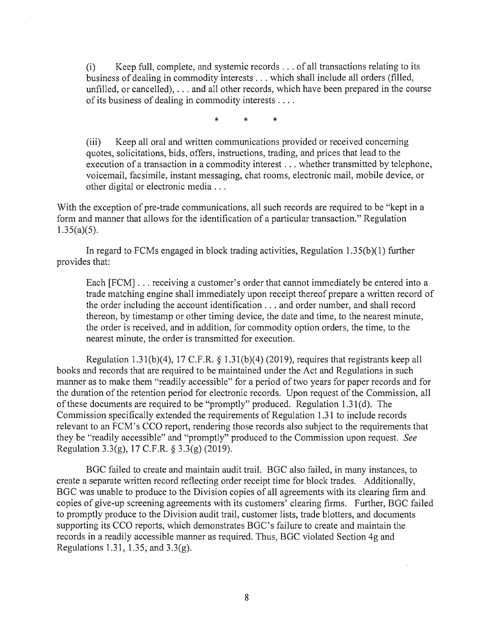(i) Keep full, complete, and systemic records ... of all transactions relating to its business of dealing in commodity interests ... which shall include all orders (filled, unfilled, or cancelled), ... and all other records, which have been prepared in the course of its business of dealing in commodity interests ....

\* \* \*

(iii) Keep all oral and written communications provided or received concerning quotes, solicitations, bids, offers, instructions, trading, and prices that lead to the execution of a transaction in a commodity interest ... whether transmitted by telephone, voicemail, facsimile, instant messaging, chat rooms, electronic mail, mobile device, or other digital or electronic media ...

With the exception of pre-trade communications, all such records are required to be "kept in a form and manner that allows for the identification of a particular transaction." Regulation  $1.35(a)(5)$ .

In regard to FCMs engaged in block trading activities, Regulation l.35(b)(l) further provides that:

Each [FCM] . . . receiving a customer's order that cannot immediately be entered into a trade matching engine shall immediately upon receipt thereof prepare a written record of the order including the account identification ... and order number, and shall record thereon, by timestamp or other timing device, the date and time, to the nearest minute, the order is received, and in addition, for commodity option orders, the time, to the nearest minute, the order is transmitted for execution.

Regulation 1.31(b)(4), 17 C.F.R. § 1.31(b)(4) (2019), requires that registrants keep all books and records that are required to be maintained under the Act and Regulations in such manner as to make them "readily accessible" for a period of two years for paper records and for the duration of the retention period for electronic records. Upon request of the Commission, all of these documents are required to be "promptly" produced. Regulation  $1.31(d)$ . The Commission specifically extended the requirements of Regulation 1.31 to include records relevant to an FCM's CCO report, rendering those records also subject to the requirements that they be "readily accessible" and "promptly" produced to the Commission upon request. *See*  Regulation 3.3(g), 17 C.F.R. § 3.3(g) (2019).

BGC failed to create and maintain audit trail. BGC also failed, in many instances, to create a separate written record reflecting order receipt time for block trades. Additionally, BGC was unable to produce to the Division copies of all agreements with its clearing firm and copies of give-up screening agreements with its customers' clearing firms. Further, BGC failed to promptly produce to the Division audit trail, customer lists, trade blotters, and documents supporting its CCO reports, which demonstrates BGC's failure to create and maintain the records in a readily accessible manner as required. Thus, BGC violated Section 4g and Regulations 1.31, 1.35, and 3.3(g).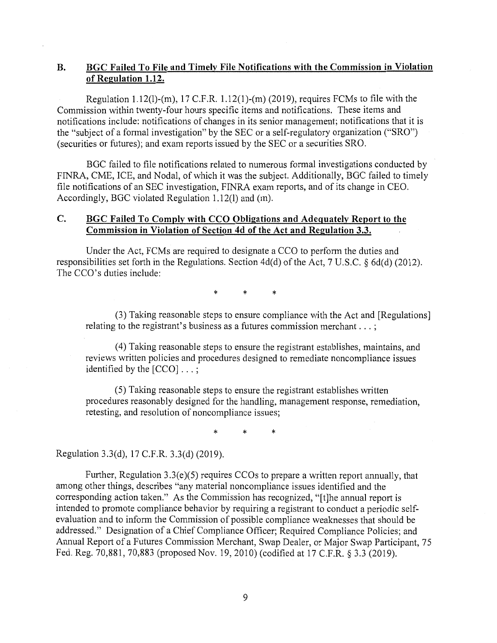# **B. BGC Failed To File and Timely File Notifications with the Commission in Violation of Regulation 1.12.**

Regulation 1.12(1)-(m), 17 C.F.R. 1.12(1)-(m) (2019), requires FCMs to file with the Commission within twenty-four hours specific items and notifications. These items and notifications include: notifications of changes in its senior management; notifications that it is the "subject of a formal investigation" by the SEC or a self-regulatory organization ("SRO") (securities or futures); and exam reports issued by the SEC or a securities SRO.

BGC failed to file notifications related to numerous formal investigations conducted by FINRA, CME, ICE, and Nodal, of which it was the subject. Additionally, BGC failed to timely file notifications of an SEC investigation, FINRA exam reports, and of its change in CEO. Accordingly, BGC violated Regulation 1.12(1) and (m).

### **C. BGC Failed To Comply with CCO Obligations and Adequately Report to the Commission in Violation of Section 4d of the Act and Regulation 3.3.**

Under the Act, FCMs are required to designate a CCO to perform the duties and responsibilities set forth in the Regulations. Section 4d(d) of the Act, 7 U.S.C. § 6d(d) (2012). The CCO's duties include:

\* \* \*

(3) Taking reasonable steps to ensure compliance with the Act and [Regulations] relating to the registrant's business as a futures commission merchant ... ;

( 4) Taking reasonable steps to ensure the registrant establishes, maintains, and reviews written policies and procedures designed to remediate noncompliance issues identified by the [CCO] ... ;

(5) Taking reasonable steps to ensure the registrant establishes written procedures reasonably designed for the handling, management response, remediation, retesting, and resolution of noncompliance issues;

\* \* \*

Regulation 3.3(d), 17 C.F.R. 3.3(d) (2019).

Further, Regulation 3.3(e)(5) requires CCOs to prepare a written report annually, that among other things, describes "any material noncompliance issues identified and the corresponding action taken." As the Commission has recognized, "[t]he annual report is intended to promote compliance behavior by requiring a registrant to conduct a periodic selfevaluation and to inform the Commission of possible compliance weaknesses that should be addressed." Designation of a Chief Compliance Officer; Required Compliance Policies; and Annual Report of a Futures Commission Merchant, Swap Dealer, or Major Swap Participant, 75 Fed. Reg. 70,881, 70,883 (proposed Nov. 19, 2010) (codified at 17 C.F.R. § 3.3 (2019).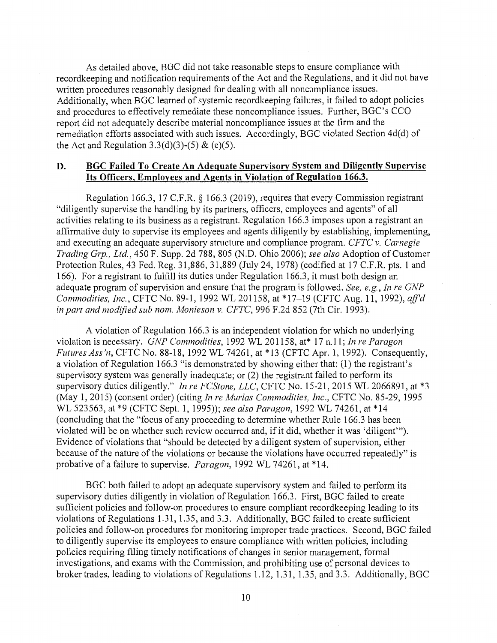As detailed above, BGC did not take reasonable steps to ensure compliance with recordkeeping and notification requirements of the Act and the Regulations, and it did not have written procedures reasonably designed for dealing with all noncompliance issues. Additionally, when BGC learned of systemic recordkeeping failures, it failed to adopt policies and procedures to effectively remediate these noncompliance issues. Further, BGC's CCO report did not adequately describe material noncompliance issues at the firm and the remediation efforts associated with such issues. Accordingly, BGC violated Section 4d(d) of the Act and Regulation 3.3(d)(3)-(5) & (e)(5).

# **D. BGC Failed To Create An Adequate Supervisory System and Diligently Supervise Its Officers, Employees and Agents in Violation of Regulation 166.3.**

Regulation 166.3, 17 C.F.R. § 166.3 (2019), requires that every Commission registrant "diligently supervise the handling by its partners, officers, employees and agents" of all activities relating to its business as a registrant. Regulation 166.3 imposes upon a registrant an affirmative duty to supervise its employees and agents diligently by establishing, implementing, and executing an adequate supervisory structure and compliance program. *CFTC v. Carnegie Trading Grp., Ltd.,* 450 F. Supp. 2d 788, 805 (N.D. Ohio 2006); *see also* Adoption of Customer Protection Rules, 43 Fed. Reg. 31,886, 31,889 (July 24, 1978) (codified at 17 C.F.R. pts. 1 and 166). For a registrant to fulfill its duties under Regulation 166.3, it must both design an adequate program of supervision and ensure that the program is followed. *See, e.g., In re GNP Commodities, Inc.,* CFTC No. 89-1, 1992 WL 201158, at \*17-19 (CFTC Aug. 11, 1992), *ajfd in part and modified sub nom. Monieson v. CFTC,* 996 F.2d 852 (7th Cir. 1993).

A violation of Regulation 166.3 is an independent violation for which no underlying violation is necessary. *GNP Commodities,* 1992 WL 201158, at\* 17 n.11; *In re Paragon Futures Ass'n,* CFTC No. 88-18, 1992 WL 74261, at \*13 (CFTC Apr. 1, 1992). Consequently, a violation of Regulation 166.3 "is demonstrated by showing either that: (1) the registrant's supervisory system was generally inadequate; or (2) the registrant failed to perform its supervisory duties diligently." *In re FCStone, LLC,* CFTC No. 15-21, 2015 WL 2066891, at \*3 (May 1, 2015) (consent order) (citing *In re Murlas Commodities, Inc.,* CFTC No. 85-29, 1995 WL 523563, at \*9 (CFTC Sept. 1, 1995)); *see also Paragon,* 1992 WL 74261, at \*14 ( concluding that the "focus of any proceeding to determine whether Rule 166.3 has been violated will be on whether such review occurred and, if it did, whether it was 'diligent"'). Evidence of violations that "should be detected by a diligent system of supervision, either because of the nature of the violations or because the violations have occurred repeatedly" is probative of a failure to supervise. *Paragon,* 1992 WL 74261, at \*14.

BGC both failed to adopt an adequate supervisory system and failed to perform its supervisory duties diligently in violation of Regulation 166.3. First, BGC failed to create sufficient policies and follow-on procedures to ensure compliant recordkeeping leading to its violations of Regulations 1.31, 1.35, and 3.3. Additionally, BGC failed to create sufficient policies and follow-on procedures for monitoring improper trade practices. Second, BGC failed to diligently supervise its employees to ensure compliance with written policies, including policies requiring filing timely notifications of changes in senior management, formal investigations, and exams with the Commission, and prohibiting use of personal devices to broker trades, leading to violations of Regulations 1.12, 1.31, 1.35, and 3.3. Additionally, BGC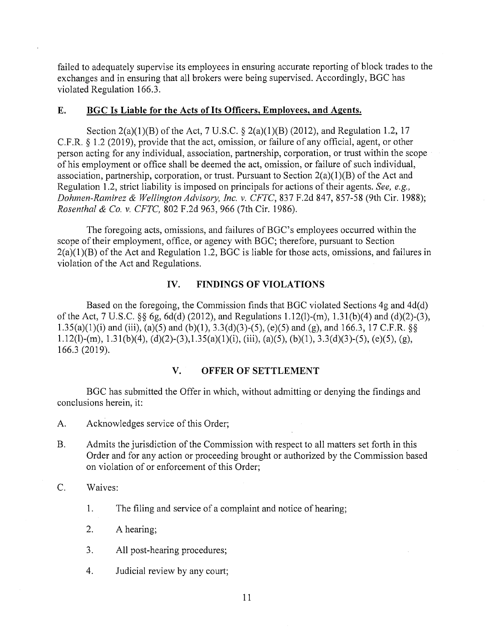failed to adequately supervise its employees in ensuring accurate reporting of block trades to the exchanges and in ensuring that all brokers were being supervised. Accordingly, BGC has violated Regulation 166.3.

#### **E. BGC Is Liable for the Acts of Its Officers, Employees, and Agents.**

Section 2(a)(1)(B) of the Act, 7 U.S.C.  $\S$  2(a)(1)(B) (2012), and Regulation 1.2, 17 C.F.R. § 1.2 (2019), provide that the act, omission, or failure of any official, agent, or other person acting for any individual, association, partnership, corporation, or trust within the scope of his employment or office shall be deemed the act, omission, or failure of such individual, association, partnership, corporation, or trust. Pursuant to Section  $2(a)(1)(B)$  of the Act and Regulation 1.2, strict liability is imposed on principals for actions of their agents. *See, e.g., Dahmen-Ramirez & Wellington Advisory, Inc. v. CFTC,* 837 F.2d 847, 857-58 (9th Cir. 1988); *Rosenthal & Co. v. CFTC,* 802 F.2d 963, 966 (7th Cir. 1986).

The foregoing acts, omissions, and failures of BGC's employees occurred within the scope of their employment, office, or agency with BGC; therefore, pursuant to Section  $2(a)(1)(B)$  of the Act and Regulation 1.2, BGC is liable for those acts, omissions, and failures in violation of the Act and Regulations.

#### **IV. FINDINGS OF VIOLATIONS**

Based on the foregoing, the Commission finds that BGC violated Sections 4g and 4d(d) of the Act, 7 U.S.C. §§ 6g, 6d(d) (2012), and Regulations 1.12(1)-(m), 1.31(b)(4) and (d)(2)-(3), 1.35(a)(1)(i) and (iii), (a)(5) and (b)(1), 3.3(d)(3)-(5), (e)(5) and (g), and 166.3, 17 C.F.R. §§ 1.12(1)-(m), 1.31(b)(4), (d)(2)-(3),1.35(a)(1)(i), (iii), (a)(5), (b)(1), 3.3(d)(3)-(5), (e)(5), (g), 166.3 (2019).

## **V. OFFER OF SETTLEMENT**

BGC has submitted the Offer in which, without admitting or denying the findings and conclusions herein, it:

- A. Acknowledges service of this Order;
- B. Admits the jurisdiction of the Commission with respect to all matters set forth in this Order and for any action or proceeding brought or authorized by the Commission based on violation of or enforcement of this Order;
- C. Waives:
	- **1.** The filing and service of a complaint and notice of hearing;
	- 2. A hearing;
	- 3. All post-hearing procedures;
	- 4. Judicial review by any court;

11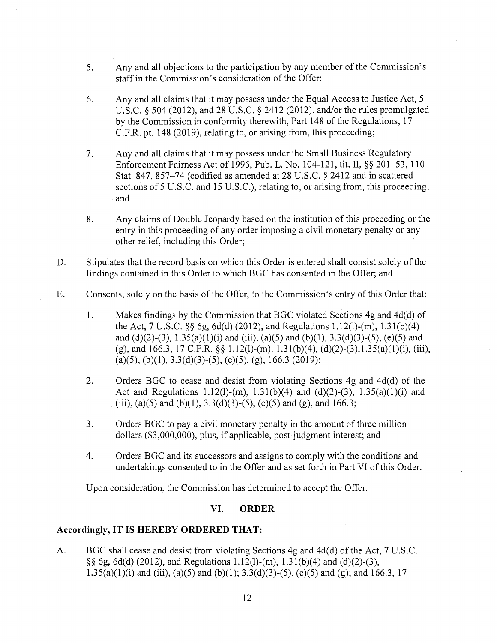- 5. Any and all objections to the participation by any member of the Commission's staff in the Commission's consideration of the Offer;
- 6. Any and all claims that it may possess under the Equal Access to Justice Act, 5 U.S.C. § 504 (2012), and 28 U.S.C. § 2412 (2012), and/or the rules promulgated by the Commission in conformity therewith, Part 148 of the Regulations, 17 C.F.R. pt. 148 (2019), relating to, or arising from, this proceeding;
- 7. Any and all claims that it may possess under the Small Business Regulatory Enforcement Fairness Act of 1996, Pub. L. No. 104-121, tit. II,§§ 201-53, 110 Stat. 847, 857-74 (codified as amended at 28 U.S.C. § 2412 and in scattered sections of 5 U.S.C. and 15 U.S.C.), relating to, or arising from, this proceeding; and
- 8. Any claims of Double Jeopardy based on the institution of this proceeding or the entry in this proceeding of any order imposing a civil monetary penalty or any other relief, including this Order;
- D. Stipulates that the record basis on which this Order is entered shall consist solely of the findings contained in this Order to which BGC has consented in the Offer; and
- E. Consents, solely on the basis of the Offer, to the Commission's entry of this Order that:
	- 1. Makes findings by the Commission that BGC violated Sections 4g and 4d(d) of the Act, 7 U.S.C. §§ 6g, 6d(d) (2012), and Regulations 1.12(1)-(m), l.3 l(b)(4) and (d)(2)-(3),  $1.35(a)(1)(i)$  and (iii), (a)(5) and (b)(1),  $3.3(d)(3)-(5)$ , (e)(5) and (g), and 166.3, 17 C.F.R. §§ 1.12(1)-(m), 1.31(b)(4), (d)(2)-(3),1.35(a)(1)(i), (iii), (a)(5), (b)(1),  $3.3(d)(3)-(5)$ , (e)(5), (g), 166.3 (2019);
	- 2. Orders BGC to cease and desist from violating Sections  $4g$  and  $4d(d)$  of the Act and Regulations 1.12(1)-(m), 1.31(b)(4) and (d)(2)-(3), 1.35(a)(1)(i) and (iii), (a)(5) and (b)(1), 3.3(d)(3)-(5), (e)(5) and (g), and 166.3;
	- 3. Orders BGC to pay a civil monetary penalty in the amount of three million dollars (\$3,000,000), plus, if applicable, post-judgment interest; and
	- 4. Orders BGC and its successors and assigns to comply with the conditions and undertakings consented to in the Offer and as set forth in Part VI of this Order.

Upon consideration, the Commission has determined to accept the Offer.

# **VI. ORDER**

#### **Accordingly, IT IS HEREBY ORDERED THAT:**

A. BGC shall cease and desist from violating Sections 4g and 4d(d) of the Act, 7 U.S.C. §§ 6g, 6d(d) (2012), and Regulations 1.12(1)-(m), l.31(b)(4) and (d)(2)-(3), 1.35(a)(1)(i) and (iii), (a)(5) and (b)(1); 3.3(d)(3)-(5), (e)(5) and (g); and 166.3, 17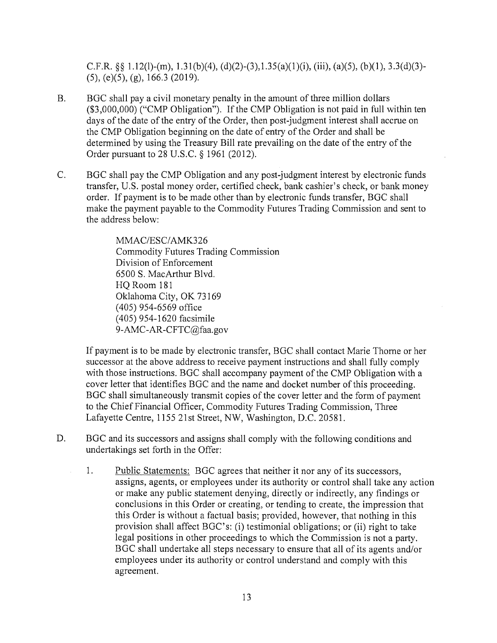C.F.R.  $\S$ § 1.12(l)-(m), 1.31(b)(4), (d)(2)-(3),1.35(a)(1)(i), (iii), (a)(5), (b)(1), 3.3(d)(3)-(5), (e)(5), (g), 166.3 (2019).

- B. BGC shall pay a civil monetary penalty in the amount of three million dollars (\$3,000,000) ("CMP Obligation"). If the CMP Obligation is not paid in full within ten days of the date of the entry of the Order, then post-judgment interest shall accrue on the CMP Obligation beginning on the date of entry of the Order and shall be determined by using the Treasury Bill rate prevailing on the date of the entry of the Order pursuant to 28 U.S.C. § 1961 (2012).
- C. BGC shall pay the CMP Obligation and any post-judgment interest by electronic funds transfer, U.S. postal money order, certified check, bank cashier's check, or bank money order. If payment is to be made other than by electronic funds transfer, BGC shall make the payment payable to the Commodity Futures Trading Commission and sent to the address below:

MMAC/ESC/AMK326 Commodity Futures Trading Commission Division of Enforcement 6500 S. MacArthur Blvd. HQ Room 181 Oklahoma City, OK 73169 (405) 954-6569 office (405) 954-1620 facsimile 9-AMC-AR-CFTC@faa.gov

If payment is to be made by electronic transfer, BGC shall contact Marie Thorne or her successor at the above address to receive payment instructions and shall fully comply with those instructions. BGC shall accompany payment of the CMP Obligation with a cover letter that identifies BGC and the name and docket number of this proceeding. BGC shall simultaneously transmit copies of the cover letter and the form of payment to the Chief Financial Officer, Commodity Futures Trading Commission, Three Lafayette Centre, 1155 21st Street, NW, Washington, D.C. 20581.

- D. BGC and its successors and assigns shall comply with the following conditions and undertakings set forth in the Offer:
	- 1. Public Statements: BGC agrees that neither it nor any of its successors, assigns, agents, or employees under its authority or control shall take any action or make any public statement denying, directly or indirectly, any findings or conclusions in this Order or creating, or tending to create, the impression that this Order is without a factual basis; provided, however, that nothing in this provision shall affect BGC's: (i) testimonial obligations; or (ii) right to take legal positions in other proceedings to which the Commission is not a party. BGC shall undertake all steps necessary to ensure that all of its agents and/or employees under its authority or control understand and comply with this agreement.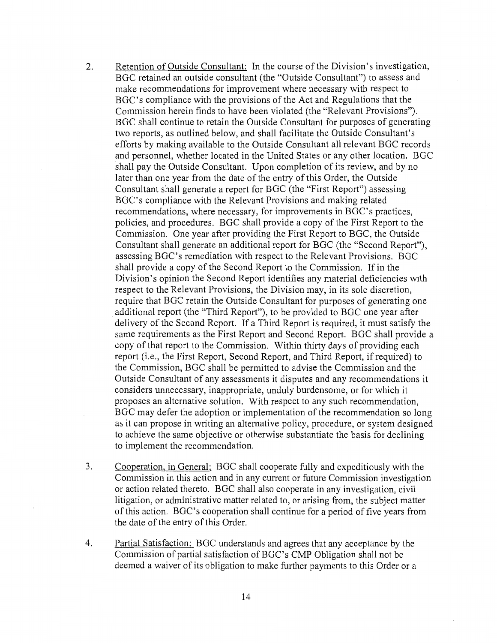- 2. Retention of Outside Consultant: In the course of the Division's investigation, BGC retained an outside consultant (the "Outside Consultant") to assess and make recommendations for improvement where necessary with respect to BGC's compliance with the provisions of the Act and Regulations that the Commission herein finds to have been violated (the "Relevant Provisions"). BGC shall continue to retain the Outside Consultant for purposes of generating two reports, as outlined below, and shall facilitate the Outside Consultant's efforts by making available to the Outside Consultant all relevant BGC records and personnel, whether located in the United States or any other location. BGC shall pay the Outside Consultant. Upon completion of its review, and by no later than one year from the date of the entry of this Order, the Outside Consultant shall generate a report for BGC (the "First Report") assessing BGC's compliance with the Relevant Provisions and making related recommendations, where necessary, for improvements in BGC's practices, policies, and procedures. BGC shall provide a copy of the First Report to the Commission. One year after providing the First Report to BGC, the Outside Consultant shall generate an additional report for BGC (the "Second Report"), assessing BGC's remediation with respect to the Relevant Provisions. BGC shall provide a copy of the Second Report to the Commission. If in the Division's opinion the Second Report identifies any material deficiencies with respect to the Relevant Provisions, the Division may, in its sole discretion, require that BGC retain the Outside Consultant for purposes of generating one additional report (the "Third Report"), to be provided to BGC one year after delivery of the Second Report. If a Third Report is required, it must satisfy the same requirements as the First Report and Second Report. BGC shall provide a copy of that report to the Commission. Within thirty days of providing each report (i.e., the First Report, Second Report, and Third Report, if required) to the Commission, BGC shall be permitted to advise the Commission and the Outside Consultant of any assessments it disputes and any recommendations it considers unnecessary, inappropriate, unduly burdensome, or for which it proposes an alternative solution. With respect to any such recommendation, BGC may defer the adoption or implementation of the recommendation so long as it can propose in writing an alternative policy, procedure, or system designed to achieve the same objective or otherwise substantiate the basis for declining to implement the recommendation.
- 3. Cooperation, in General: BGC shall cooperate fully and expeditiously with the Commission in this action and in any current or future Commission investigation or action related thereto. BGC shall also cooperate in any investigation, civil litigation, or administrative matter related to, or arising from, the subject matter of this action. BGC's cooperation shall continue for a period of five years from the date of the entry of this Order.
- 4. Partial Satisfaction: BGC understands and agrees that any acceptance by the Commission of partial satisfaction of BGC's CMP Obligation shall not be deemed a waiver of its obligation to make further payments to this Order or a